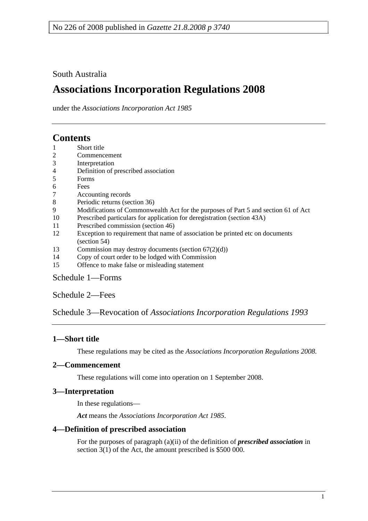## South Australia

# **Associations Incorporation Regulations 2008**

under the *Associations Incorporation Act 1985*

# **Contents**

- 1 Short title
- 2 Commencement
- 3 Interpretation
- 4 Definition of prescribed association
- 5 Forms
- 6 Fees
- 7 Accounting records
- 8 Periodic returns (section 36)
- 9 Modifications of Commonwealth Act for the purposes of Part 5 and section 61 of Act
- 10 Prescribed particulars for application for deregistration (section 43A)
- 11 Prescribed commission (section 46)
- 12 Exception to requirement that name of association be printed etc on documents (section 54)
- 13 Commission may destroy documents (section 67(2)(d))
- 14 Copy of court order to be lodged with Commission
- 15 Offence to make false or misleading statement

## Schedule 1—Forms

Schedule 2—Fees

Schedule 3—Revocation of *Associations Incorporation Regulations 1993*

## **1—Short title**

These regulations may be cited as the *Associations Incorporation Regulations 2008*.

## **2—Commencement**

These regulations will come into operation on 1 September 2008.

## **3—Interpretation**

In these regulations—

*Act* means the *Associations Incorporation Act 1985*.

## **4—Definition of prescribed association**

For the purposes of paragraph (a)(ii) of the definition of *prescribed association* in section 3(1) of the Act, the amount prescribed is \$500 000.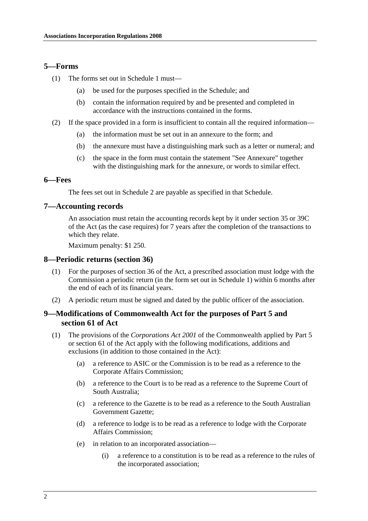## **5—Forms**

- (1) The forms set out in Schedule 1 must—
	- (a) be used for the purposes specified in the Schedule; and
	- (b) contain the information required by and be presented and completed in accordance with the instructions contained in the forms.
- (2) If the space provided in a form is insufficient to contain all the required information—
	- (a) the information must be set out in an annexure to the form; and
	- (b) the annexure must have a distinguishing mark such as a letter or numeral; and
	- (c) the space in the form must contain the statement "See Annexure" together with the distinguishing mark for the annexure, or words to similar effect.

#### **6—Fees**

The fees set out in Schedule 2 are payable as specified in that Schedule.

## **7—Accounting records**

An association must retain the accounting records kept by it under section 35 or 39C of the Act (as the case requires) for 7 years after the completion of the transactions to which they relate.

Maximum penalty: \$1 250.

#### **8—Periodic returns (section 36)**

- (1) For the purposes of section 36 of the Act, a prescribed association must lodge with the Commission a periodic return (in the form set out in Schedule 1) within 6 months after the end of each of its financial years.
- (2) A periodic return must be signed and dated by the public officer of the association.

## **9—Modifications of Commonwealth Act for the purposes of Part 5 and section 61 of Act**

- (1) The provisions of the *Corporations Act 2001* of the Commonwealth applied by Part 5 or section 61 of the Act apply with the following modifications, additions and exclusions (in addition to those contained in the Act):
	- (a) a reference to ASIC or the Commission is to be read as a reference to the Corporate Affairs Commission;
	- (b) a reference to the Court is to be read as a reference to the Supreme Court of South Australia;
	- (c) a reference to the Gazette is to be read as a reference to the South Australian Government Gazette;
	- (d) a reference to lodge is to be read as a reference to lodge with the Corporate Affairs Commission;
	- (e) in relation to an incorporated association—
		- (i) a reference to a constitution is to be read as a reference to the rules of the incorporated association;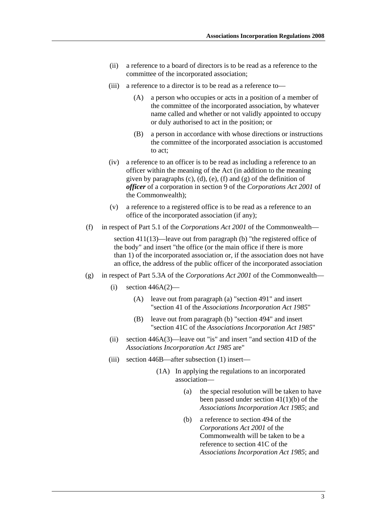- (ii) a reference to a board of directors is to be read as a reference to the committee of the incorporated association;
- (iii) a reference to a director is to be read as a reference to—
	- (A) a person who occupies or acts in a position of a member of the committee of the incorporated association, by whatever name called and whether or not validly appointed to occupy or duly authorised to act in the position; or
	- (B) a person in accordance with whose directions or instructions the committee of the incorporated association is accustomed to act;
- (iv) a reference to an officer is to be read as including a reference to an officer within the meaning of the Act (in addition to the meaning given by paragraphs (c), (d), (e), (f) and (g) of the definition of *officer* of a corporation in section 9 of the *Corporations Act 2001* of the Commonwealth);
- (v) a reference to a registered office is to be read as a reference to an office of the incorporated association (if any);
- (f) in respect of Part 5.1 of the *Corporations Act 2001* of the Commonwealth—

section 411(13)—leave out from paragraph (b) "the registered office of the body" and insert "the office (or the main office if there is more than 1) of the incorporated association or, if the association does not have an office, the address of the public officer of the incorporated association

- (g) in respect of Part 5.3A of the *Corporations Act 2001* of the Commonwealth—
	- $(i)$  section 446A $(2)$ 
		- (A) leave out from paragraph (a) "section 491" and insert "section 41 of the *Associations Incorporation Act 1985*"
		- (B) leave out from paragraph (b) "section 494" and insert "section 41C of the *Associations Incorporation Act 1985*"
	- (ii) section 446A(3)—leave out "is" and insert "and section 41D of the *Associations Incorporation Act 1985* are"
	- (iii) section 446B—after subsection (1) insert—
		- (1A) In applying the regulations to an incorporated association—
			- (a) the special resolution will be taken to have been passed under section 41(1)(b) of the *Associations Incorporation Act 1985*; and
			- (b) a reference to section 494 of the *Corporations Act 2001* of the Commonwealth will be taken to be a reference to section 41C of the *Associations Incorporation Act 1985*; and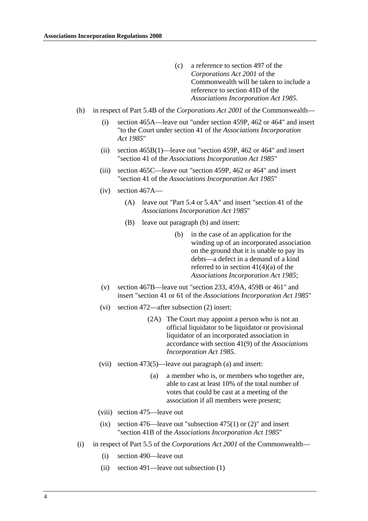- (c) a reference to section 497 of the *Corporations Act 2001* of the Commonwealth will be taken to include a reference to section 41D of the *Associations Incorporation Act 1985*.
- (h) in respect of Part 5.4B of the *Corporations Act 2001* of the Commonwealth—
	- (i) section 465A—leave out "under section 459P, 462 or 464" and insert "to the Court under section 41 of the *Associations Incorporation Act 1985*"
	- (ii) section 465B(1)—leave out "section 459P, 462 or 464" and insert "section 41 of the *Associations Incorporation Act 1985*"
	- (iii) section 465C—leave out "section 459P, 462 or 464" and insert "section 41 of the *Associations Incorporation Act 1985*"
	- (iv) section 467A—
		- (A) leave out "Part 5.4 or 5.4A" and insert "section 41 of the *Associations Incorporation Act 1985*"
		- (B) leave out paragraph (b) and insert:
			- (b) in the case of an application for the winding up of an incorporated association on the ground that it is unable to pay its debts—a defect in a demand of a kind referred to in section  $41(4)(a)$  of the *Associations Incorporation Act 1985*;
	- (v) section 467B—leave out "section 233, 459A, 459B or 461" and insert "section 41 or 61 of the *Associations Incorporation Act 1985*"
	- (vi) section 472—after subsection (2) insert:
		- (2A) The Court may appoint a person who is not an official liquidator to be liquidator or provisional liquidator of an incorporated association in accordance with section 41(9) of the *Associations Incorporation Act 1985*.
	- (vii) section 473(5)—leave out paragraph (a) and insert:
		- (a) a member who is, or members who together are, able to cast at least 10% of the total number of votes that could be cast at a meeting of the association if all members were present;
	- (viii) section 475—leave out
	- (ix) section 476—leave out "subsection 475(1) or  $(2)$ " and insert "section 41B of the *Associations Incorporation Act 1985*"
- (i) in respect of Part 5.5 of the *Corporations Act 2001* of the Commonwealth—
	- (i) section 490—leave out
	- (ii) section 491—leave out subsection (1)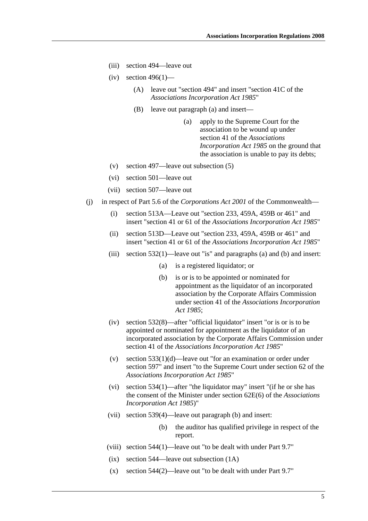- (iii) section 494—leave out
- $(iv)$  section 496(1)—
	- (A) leave out "section 494" and insert "section 41C of the *Associations Incorporation Act 1985*"
	- (B) leave out paragraph (a) and insert—
		- (a) apply to the Supreme Court for the association to be wound up under section 41 of the *Associations Incorporation Act 1985* on the ground that the association is unable to pay its debts;
- (v) section 497—leave out subsection (5)
- (vi) section 501—leave out
- (vii) section 507—leave out
- (j) in respect of Part 5.6 of the *Corporations Act 2001* of the Commonwealth—
	- (i) section 513A—Leave out "section 233, 459A, 459B or 461" and insert "section 41 or 61 of the *Associations Incorporation Act 1985*"
	- (ii) section 513D—Leave out "section 233, 459A, 459B or 461" and insert "section 41 or 61 of the *Associations Incorporation Act 1985*"
	- (iii) section 532(1)—leave out "is" and paragraphs (a) and (b) and insert:
		- (a) is a registered liquidator; or
		- (b) is or is to be appointed or nominated for appointment as the liquidator of an incorporated association by the Corporate Affairs Commission under section 41 of the *Associations Incorporation Act 1985*;
	- (iv) section 532(8)—after "official liquidator" insert "or is or is to be appointed or nominated for appointment as the liquidator of an incorporated association by the Corporate Affairs Commission under section 41 of the *Associations Incorporation Act 1985*"
	- (v) section 533(1)(d)—leave out "for an examination or order under section 597" and insert "to the Supreme Court under section 62 of the *Associations Incorporation Act 1985*"
	- (vi) section 534(1)—after "the liquidator may" insert "(if he or she has the consent of the Minister under section 62E(6) of the *Associations Incorporation Act 1985*)"
	- (vii) section 539(4)—leave out paragraph (b) and insert:
		- (b) the auditor has qualified privilege in respect of the report.
	- (viii) section 544(1)—leave out "to be dealt with under Part 9.7"
	- (ix) section 544—leave out subsection (1A)
	- (x) section 544(2)—leave out "to be dealt with under Part 9.7"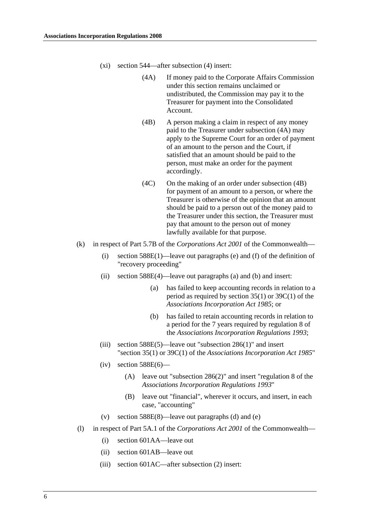- (xi) section 544—after subsection (4) insert:
	- (4A) If money paid to the Corporate Affairs Commission under this section remains unclaimed or undistributed, the Commission may pay it to the Treasurer for payment into the Consolidated Account.
	- (4B) A person making a claim in respect of any money paid to the Treasurer under subsection (4A) may apply to the Supreme Court for an order of payment of an amount to the person and the Court, if satisfied that an amount should be paid to the person, must make an order for the payment accordingly.
	- (4C) On the making of an order under subsection (4B) for payment of an amount to a person, or where the Treasurer is otherwise of the opinion that an amount should be paid to a person out of the money paid to the Treasurer under this section, the Treasurer must pay that amount to the person out of money lawfully available for that purpose.
- (k) in respect of Part 5.7B of the *Corporations Act 2001* of the Commonwealth—
	- (i) section 588E(1)—leave out paragraphs (e) and (f) of the definition of "recovery proceeding"
	- (ii) section 588E(4)—leave out paragraphs (a) and (b) and insert:
		- (a) has failed to keep accounting records in relation to a period as required by section 35(1) or 39C(1) of the *Associations Incorporation Act 1985*; or
		- (b) has failed to retain accounting records in relation to a period for the 7 years required by regulation 8 of the *Associations Incorporation Regulations 1993*;
	- (iii) section  $588E(5)$ —leave out "subsection  $286(1)$ " and insert "section 35(1) or 39C(1) of the *Associations Incorporation Act 1985*"
	- $(iv)$  section 588E $(6)$ 
		- (A) leave out "subsection 286(2)" and insert "regulation 8 of the *Associations Incorporation Regulations 1993*"
		- (B) leave out "financial", wherever it occurs, and insert, in each case, "accounting"
	- (v) section 588E(8)—leave out paragraphs (d) and (e)
- (l) in respect of Part 5A.1 of the *Corporations Act 2001* of the Commonwealth—
	- (i) section 601AA—leave out
	- (ii) section 601AB—leave out
	- (iii) section 601AC—after subsection (2) insert: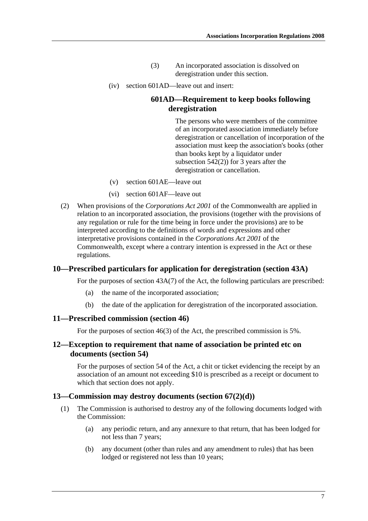- (3) An incorporated association is dissolved on deregistration under this section.
- (iv) section 601AD—leave out and insert:

## **601AD—Requirement to keep books following deregistration**

The persons who were members of the committee of an incorporated association immediately before deregistration or cancellation of incorporation of the association must keep the association's books (other than books kept by a liquidator under subsection 542(2)) for 3 years after the deregistration or cancellation.

- (v) section 601AE—leave out
- (vi) section 601AF—leave out
- (2) When provisions of the *Corporations Act 2001* of the Commonwealth are applied in relation to an incorporated association, the provisions (together with the provisions of any regulation or rule for the time being in force under the provisions) are to be interpreted according to the definitions of words and expressions and other interpretative provisions contained in the *Corporations Act 2001* of the Commonwealth, except where a contrary intention is expressed in the Act or these regulations.

### **10—Prescribed particulars for application for deregistration (section 43A)**

For the purposes of section 43A(7) of the Act, the following particulars are prescribed:

- (a) the name of the incorporated association;
- (b) the date of the application for deregistration of the incorporated association.

#### **11—Prescribed commission (section 46)**

For the purposes of section 46(3) of the Act, the prescribed commission is 5%.

## **12—Exception to requirement that name of association be printed etc on documents (section 54)**

For the purposes of section 54 of the Act, a chit or ticket evidencing the receipt by an association of an amount not exceeding \$10 is prescribed as a receipt or document to which that section does not apply.

#### **13—Commission may destroy documents (section 67(2)(d))**

- (1) The Commission is authorised to destroy any of the following documents lodged with the Commission:
	- (a) any periodic return, and any annexure to that return, that has been lodged for not less than 7 years;
	- (b) any document (other than rules and any amendment to rules) that has been lodged or registered not less than 10 years;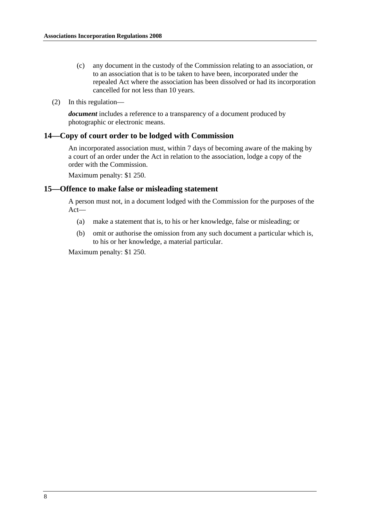- (c) any document in the custody of the Commission relating to an association, or to an association that is to be taken to have been, incorporated under the repealed Act where the association has been dissolved or had its incorporation cancelled for not less than 10 years.
- (2) In this regulation—

*document* includes a reference to a transparency of a document produced by photographic or electronic means.

## **14—Copy of court order to be lodged with Commission**

An incorporated association must, within 7 days of becoming aware of the making by a court of an order under the Act in relation to the association, lodge a copy of the order with the Commission.

Maximum penalty: \$1 250.

#### **15—Offence to make false or misleading statement**

A person must not, in a document lodged with the Commission for the purposes of the Act—

- (a) make a statement that is, to his or her knowledge, false or misleading; or
- (b) omit or authorise the omission from any such document a particular which is, to his or her knowledge, a material particular.

Maximum penalty: \$1 250.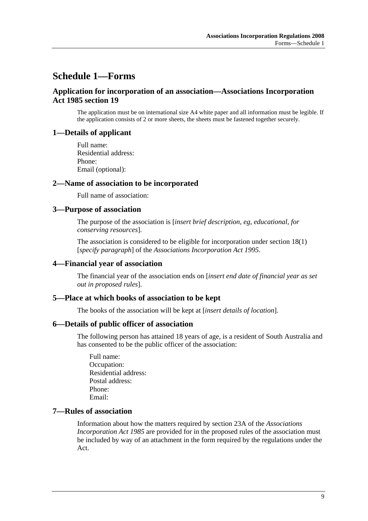# **Schedule 1—Forms**

## **Application for incorporation of an association—Associations Incorporation Act 1985 section 19**

The application must be on international size A4 white paper and all information must be legible. If the application consists of 2 or more sheets, the sheets must be fastened together securely.

#### **1—Details of applicant**

Full name: Residential address: Phone: Email (optional):

#### **2—Name of association to be incorporated**

Full name of association:

#### **3—Purpose of association**

The purpose of the association is [*insert brief description, eg, educational, for conserving resources*].

The association is considered to be eligible for incorporation under section 18(1) [*specify paragraph*] of the *Associations Incorporation Act 1995*.

#### **4—Financial year of association**

The financial year of the association ends on [*insert end date of financial year as set out in proposed rules*].

#### **5—Place at which books of association to be kept**

The books of the association will be kept at [*insert details of location*].

#### **6—Details of public officer of association**

The following person has attained 18 years of age, is a resident of South Australia and has consented to be the public officer of the association:

Full name: Occupation: Residential address: Postal address: Phone: Email:

## **7—Rules of association**

Information about how the matters required by section 23A of the *Associations Incorporation Act 1985* are provided for in the proposed rules of the association must be included by way of an attachment in the form required by the regulations under the Act.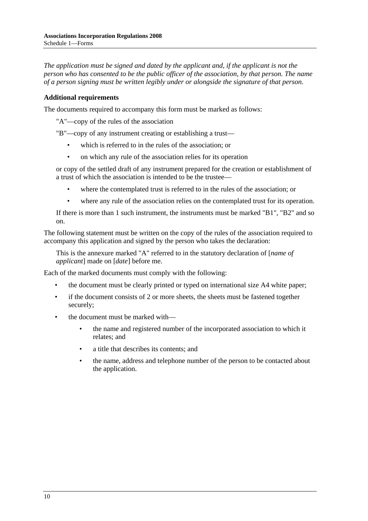*The application must be signed and dated by the applicant and, if the applicant is not the person who has consented to be the public officer of the association, by that person. The name of a person signing must be written legibly under or alongside the signature of that person.*

## **Additional requirements**

The documents required to accompany this form must be marked as follows:

"A"—copy of the rules of the association

"B"—copy of any instrument creating or establishing a trust—

- which is referred to in the rules of the association; or
- on which any rule of the association relies for its operation

or copy of the settled draft of any instrument prepared for the creation or establishment of a trust of which the association is intended to be the trustee—

- where the contemplated trust is referred to in the rules of the association; or
- where any rule of the association relies on the contemplated trust for its operation.

If there is more than 1 such instrument, the instruments must be marked "B1", "B2" and so on.

The following statement must be written on the copy of the rules of the association required to accompany this application and signed by the person who takes the declaration:

This is the annexure marked "A" referred to in the statutory declaration of [*name of applicant*] made on [*date*] before me.

Each of the marked documents must comply with the following:

- the document must be clearly printed or typed on international size A4 white paper;
- if the document consists of 2 or more sheets, the sheets must be fastened together securely;
- the document must be marked with—
	- the name and registered number of the incorporated association to which it relates; and
	- a title that describes its contents; and
	- the name, address and telephone number of the person to be contacted about the application.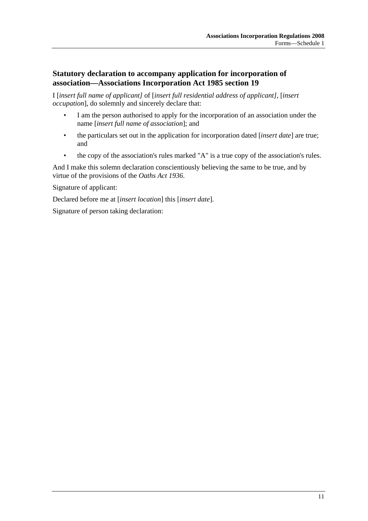## **Statutory declaration to accompany application for incorporation of association—Associations Incorporation Act 1985 section 19**

I [*insert full name of applicant]* of [*insert full residential address of applicant]*, [*insert occupation*], do solemnly and sincerely declare that:

- I am the person authorised to apply for the incorporation of an association under the name [*insert full name of association*]; and
- the particulars set out in the application for incorporation dated [*insert date*] are true; and
- the copy of the association's rules marked "A" is a true copy of the association's rules.

And I make this solemn declaration conscientiously believing the same to be true, and by virtue of the provisions of the *Oaths Act 1936*.

Signature of applicant:

Declared before me at [*insert location*] this [*insert date*].

Signature of person taking declaration: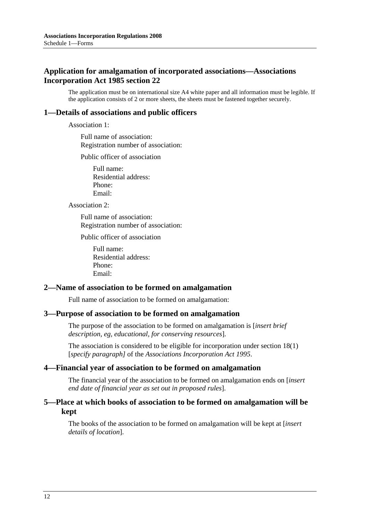## **Application for amalgamation of incorporated associations—Associations Incorporation Act 1985 section 22**

The application must be on international size A4 white paper and all information must be legible. If the application consists of 2 or more sheets, the sheets must be fastened together securely.

## **1—Details of associations and public officers**

Association 1:

Full name of association: Registration number of association:

Public officer of association

Full name: Residential address: Phone: Email:

Association 2:

Full name of association: Registration number of association:

Public officer of association

Full name: Residential address: Phone: Email:

#### **2—Name of association to be formed on amalgamation**

Full name of association to be formed on amalgamation:

#### **3—Purpose of association to be formed on amalgamation**

The purpose of the association to be formed on amalgamation is [*insert brief description, eg, educational, for conserving resources*].

The association is considered to be eligible for incorporation under section 18(1) [*specify paragraph]* of the *Associations Incorporation Act 1995*.

#### **4—Financial year of association to be formed on amalgamation**

The financial year of the association to be formed on amalgamation ends on [*insert end date of financial year as set out in proposed rules*].

## **5—Place at which books of association to be formed on amalgamation will be kept**

The books of the association to be formed on amalgamation will be kept at [*insert details of location*].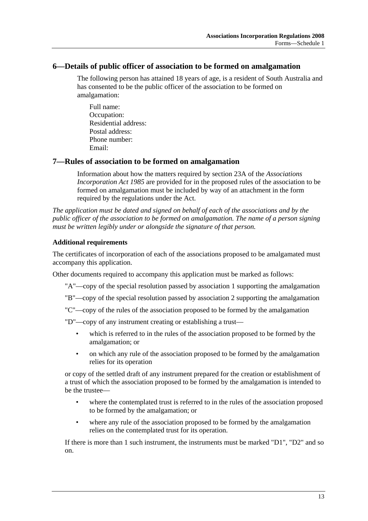## **6—Details of public officer of association to be formed on amalgamation**

The following person has attained 18 years of age, is a resident of South Australia and has consented to be the public officer of the association to be formed on amalgamation:

Full name: Occupation: Residential address: Postal address: Phone number: Email:

## **7—Rules of association to be formed on amalgamation**

Information about how the matters required by section 23A of the *Associations Incorporation Act 1985* are provided for in the proposed rules of the association to be formed on amalgamation must be included by way of an attachment in the form required by the regulations under the Act.

*The application must be dated and signed on behalf of each of the associations and by the public officer of the association to be formed on amalgamation. The name of a person signing must be written legibly under or alongside the signature of that person.*

## **Additional requirements**

The certificates of incorporation of each of the associations proposed to be amalgamated must accompany this application.

Other documents required to accompany this application must be marked as follows:

"A"—copy of the special resolution passed by association 1 supporting the amalgamation

"B"—copy of the special resolution passed by association 2 supporting the amalgamation

"C"—copy of the rules of the association proposed to be formed by the amalgamation

"D"—copy of any instrument creating or establishing a trust—

- which is referred to in the rules of the association proposed to be formed by the amalgamation; or
- on which any rule of the association proposed to be formed by the amalgamation relies for its operation

or copy of the settled draft of any instrument prepared for the creation or establishment of a trust of which the association proposed to be formed by the amalgamation is intended to be the trustee—

- where the contemplated trust is referred to in the rules of the association proposed to be formed by the amalgamation; or
- where any rule of the association proposed to be formed by the amalgamation relies on the contemplated trust for its operation.

If there is more than 1 such instrument, the instruments must be marked "D1", "D2" and so on.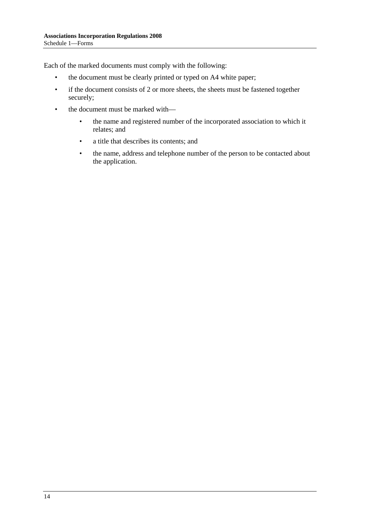Each of the marked documents must comply with the following:

- the document must be clearly printed or typed on A4 white paper;
- if the document consists of 2 or more sheets, the sheets must be fastened together securely;
- the document must be marked with—
	- the name and registered number of the incorporated association to which it relates; and
	- a title that describes its contents; and
	- the name, address and telephone number of the person to be contacted about the application.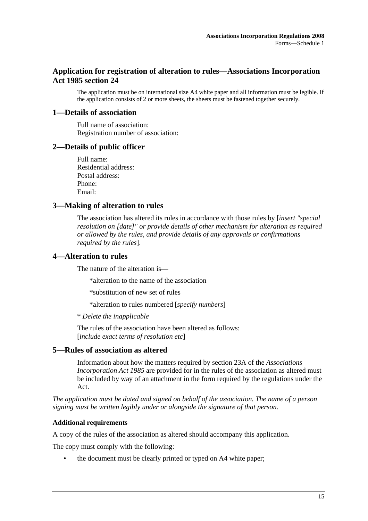## **Application for registration of alteration to rules—Associations Incorporation Act 1985 section 24**

The application must be on international size A4 white paper and all information must be legible. If the application consists of 2 or more sheets, the sheets must be fastened together securely.

#### **1—Details of association**

Full name of association: Registration number of association:

#### **2—Details of public officer**

Full name: Residential address: Postal address: Phone: Email:

#### **3—Making of alteration to rules**

The association has altered its rules in accordance with those rules by [*insert "special resolution on [date]" or provide details of other mechanism for alteration as required or allowed by the rules, and provide details of any approvals or confirmations required by the rules*].

## **4—Alteration to rules**

The nature of the alteration is—

\*alteration to the name of the association

\*substitution of new set of rules

\*alteration to rules numbered [*specify numbers*]

\* *Delete the inapplicable*

The rules of the association have been altered as follows: [*include exact terms of resolution etc*]

## **5—Rules of association as altered**

Information about how the matters required by section 23A of the *Associations Incorporation Act 1985* are provided for in the rules of the association as altered must be included by way of an attachment in the form required by the regulations under the Act.

*The application must be dated and signed on behalf of the association. The name of a person signing must be written legibly under or alongside the signature of that person.*

#### **Additional requirements**

A copy of the rules of the association as altered should accompany this application.

The copy must comply with the following:

• the document must be clearly printed or typed on A4 white paper;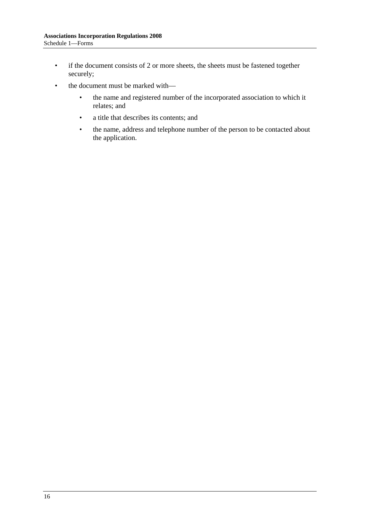- if the document consists of 2 or more sheets, the sheets must be fastened together securely;
- the document must be marked with—
	- the name and registered number of the incorporated association to which it relates; and
	- a title that describes its contents; and
	- the name, address and telephone number of the person to be contacted about the application.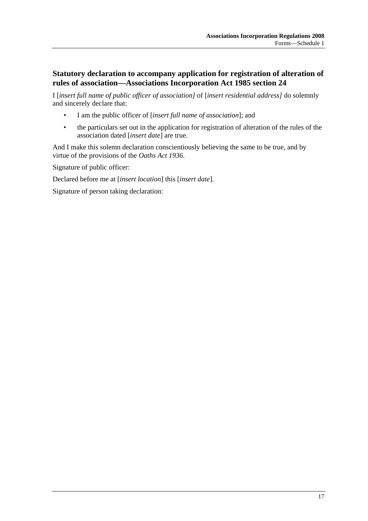## **Statutory declaration to accompany application for registration of alteration of rules of association—Associations Incorporation Act 1985 section 24**

I [*insert full name of public officer of association]* of [*insert residential address]* do solemnly and sincerely declare that:

- I am the public officer of [*insert full name of association*]; and
- the particulars set out in the application for registration of alteration of the rules of the association dated [*insert date*] are true.

And I make this solemn declaration conscientiously believing the same to be true, and by virtue of the provisions of the *Oaths Act 1936*.

Signature of public officer:

Declared before me at [*insert location*] this [*insert date*].

Signature of person taking declaration: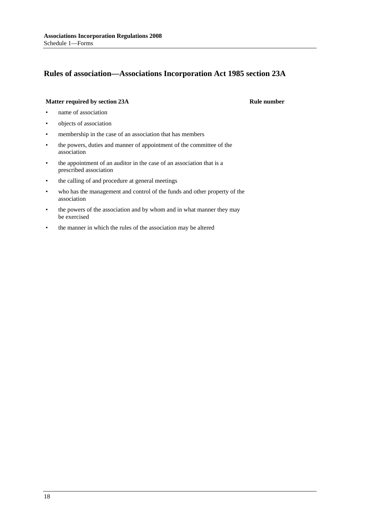## **Rules of association—Associations Incorporation Act 1985 section 23A**

#### **Matter required by section 23A** Rule number

- name of association
- objects of association
- membership in the case of an association that has members
- the powers, duties and manner of appointment of the committee of the association
- the appointment of an auditor in the case of an association that is a prescribed association
- the calling of and procedure at general meetings
- who has the management and control of the funds and other property of the association
- the powers of the association and by whom and in what manner they may be exercised
- the manner in which the rules of the association may be altered

18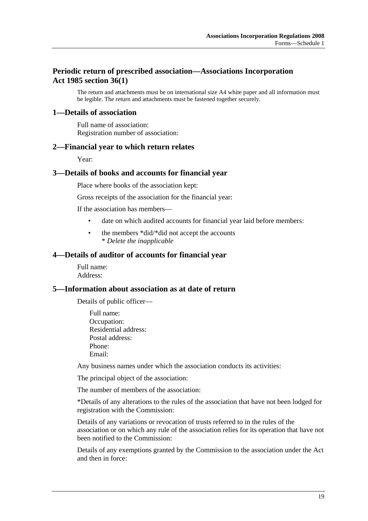## **Periodic return of prescribed association—Associations Incorporation Act 1985 section 36(1)**

The return and attachments must be on international size A4 white paper and all information must be legible. The return and attachments must be fastened together securely.

#### **1—Details of association**

Full name of association: Registration number of association:

#### **2—Financial year to which return relates**

Year:

### **3—Details of books and accounts for financial year**

Place where books of the association kept:

Gross receipts of the association for the financial year:

If the association has members—

- date on which audited accounts for financial year laid before members:
- the members \*did/\*did not accept the accounts \* *Delete the inapplicable*

#### **4—Details of auditor of accounts for financial year**

Full name: Address:

#### **5—Information about association as at date of return**

Details of public officer—

Full name: Occupation: Residential address: Postal address: Phone: Email:

Any business names under which the association conducts its activities:

The principal object of the association:

The number of members of the association:

\*Details of any alterations to the rules of the association that have not been lodged for registration with the Commission:

Details of any variations or revocation of trusts referred to in the rules of the association or on which any rule of the association relies for its operation that have not been notified to the Commission:

Details of any exemptions granted by the Commission to the association under the Act and then in force: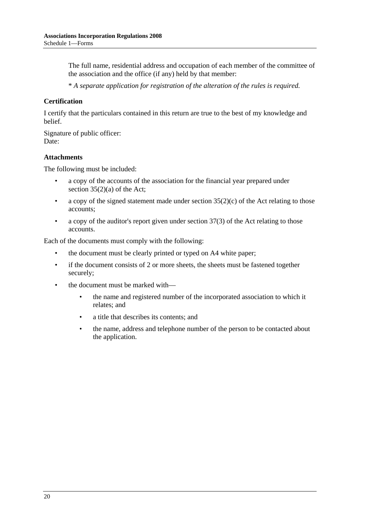The full name, residential address and occupation of each member of the committee of the association and the office (if any) held by that member:

\* *A separate application for registration of the alteration of the rules is required.*

#### **Certification**

I certify that the particulars contained in this return are true to the best of my knowledge and belief.

Signature of public officer: Date:

#### **Attachments**

The following must be included:

- a copy of the accounts of the association for the financial year prepared under section  $35(2)(a)$  of the Act;
- a copy of the signed statement made under section  $35(2)(c)$  of the Act relating to those accounts;
- a copy of the auditor's report given under section 37(3) of the Act relating to those accounts.

Each of the documents must comply with the following:

- the document must be clearly printed or typed on A4 white paper;
- if the document consists of 2 or more sheets, the sheets must be fastened together securely;
- the document must be marked with—
	- the name and registered number of the incorporated association to which it relates; and
	- a title that describes its contents; and
	- the name, address and telephone number of the person to be contacted about the application.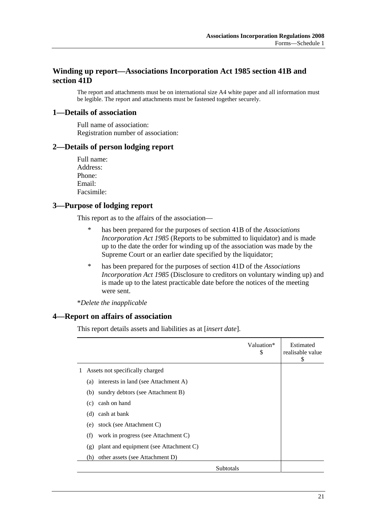## **Winding up report—Associations Incorporation Act 1985 section 41B and section 41D**

The report and attachments must be on international size A4 white paper and all information must be legible. The report and attachments must be fastened together securely.

#### **1—Details of association**

Full name of association: Registration number of association:

#### **2—Details of person lodging report**

Full name: Address: Phone: Email: Facsimile:

## **3—Purpose of lodging report**

This report as to the affairs of the association—

- \* has been prepared for the purposes of section 41B of the *Associations Incorporation Act 1985* (Reports to be submitted to liquidator) and is made up to the date the order for winding up of the association was made by the Supreme Court or an earlier date specified by the liquidator;
- \* has been prepared for the purposes of section 41D of the *Associations Incorporation Act 1985* (Disclosure to creditors on voluntary winding up) and is made up to the latest practicable date before the notices of the meeting were sent.

\**Delete the inapplicable*

### **4—Report on affairs of association**

This report details assets and liabilities as at [*insert date*].

|                                               | Valuation*<br>\$ | Estimated<br>realisable value<br>\$ |
|-----------------------------------------------|------------------|-------------------------------------|
| Assets not specifically charged               |                  |                                     |
| interests in land (see Attachment A)<br>(a)   |                  |                                     |
| sundry debtors (see Attachment B)<br>(b)      |                  |                                     |
| cash on hand<br>(c)                           |                  |                                     |
| cash at bank<br>(d)                           |                  |                                     |
| stock (see Attachment C)<br>(e)               |                  |                                     |
| (f)<br>work in progress (see Attachment C)    |                  |                                     |
| plant and equipment (see Attachment C)<br>(g) |                  |                                     |
| other assets (see Attachment D)<br>(h)        |                  |                                     |
| Subtotals                                     |                  |                                     |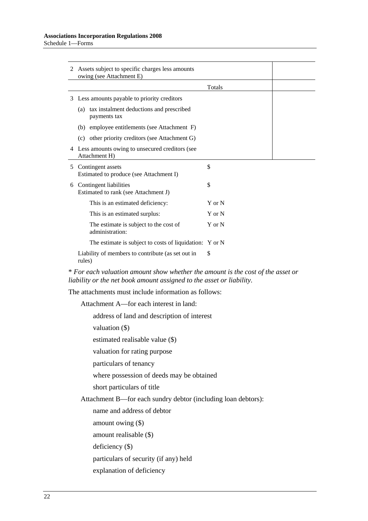| 2 Assets subject to specific charges less amounts<br>owing (see Attachment E)                                                                           |            |  |  |
|---------------------------------------------------------------------------------------------------------------------------------------------------------|------------|--|--|
|                                                                                                                                                         | Totals     |  |  |
| 3 Less amounts payable to priority creditors                                                                                                            |            |  |  |
| (a) tax instalment deductions and prescribed<br>payments tax                                                                                            |            |  |  |
| (b) employee entitlements (see Attachment F)                                                                                                            |            |  |  |
| (c) other priority creditors (see Attachment G)                                                                                                         |            |  |  |
| 4 Less amounts owing to unsecured creditors (see<br>Attachment H)                                                                                       |            |  |  |
| 5 Contingent assets<br>Estimated to produce (see Attachment I)                                                                                          | \$         |  |  |
| \$<br>6 Contingent liabilities<br>Estimated to rank (see Attachment J)                                                                                  |            |  |  |
| This is an estimated deficiency:                                                                                                                        | $Y$ or $N$ |  |  |
| This is an estimated surplus:                                                                                                                           | $Y$ or $N$ |  |  |
| The estimate is subject to the cost of<br>administration:                                                                                               | Y or N     |  |  |
| The estimate is subject to costs of liquidation: Y or N                                                                                                 |            |  |  |
| Liability of members to contribute (as set out in<br>rules)                                                                                             | \$         |  |  |
| * For each valuation amount show whether the amount is the cost of the asset or<br>liability or the net book amount assigned to the asset or liability. |            |  |  |
| The attachments must include information as follows:                                                                                                    |            |  |  |
| Attachment A—for each interest in land:                                                                                                                 |            |  |  |
| address of land and description of interest                                                                                                             |            |  |  |
| valuation $(\$)$                                                                                                                                        |            |  |  |
| estimated realisable value (\$)                                                                                                                         |            |  |  |
| valuation for rating purpose                                                                                                                            |            |  |  |
| particulars of tenancy                                                                                                                                  |            |  |  |
| where possession of deeds may be obtained                                                                                                               |            |  |  |
| short particulars of title                                                                                                                              |            |  |  |
| Attachment B—for each sundry debtor (including loan debtors):                                                                                           |            |  |  |
| name and address of debtor                                                                                                                              |            |  |  |
| amount owing $(\$)$                                                                                                                                     |            |  |  |
| amount realisable (\$)                                                                                                                                  |            |  |  |
| deficiency $(\$)$                                                                                                                                       |            |  |  |
| particulars of security (if any) held                                                                                                                   |            |  |  |

explanation of deficiency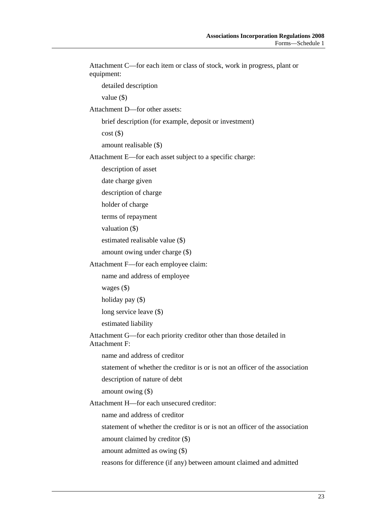| Attachment C-for each item or class of stock, work in progress, plant or<br>equipment:       |
|----------------------------------------------------------------------------------------------|
| detailed description                                                                         |
| value $(\$)$                                                                                 |
| Attachment D-for other assets:                                                               |
| brief description (for example, deposit or investment)                                       |
| cost()                                                                                       |
| amount realisable (\$)                                                                       |
| Attachment E—for each asset subject to a specific charge:                                    |
| description of asset                                                                         |
| date charge given                                                                            |
| description of charge                                                                        |
| holder of charge                                                                             |
| terms of repayment                                                                           |
| valuation $(\$)$                                                                             |
| estimated realisable value (\$)                                                              |
| amount owing under charge (\$)                                                               |
| Attachment F-for each employee claim:                                                        |
| name and address of employee                                                                 |
| wages $(\$)$                                                                                 |
| holiday pay $(\$)$                                                                           |
| long service leave (\$)                                                                      |
| estimated liability                                                                          |
| Attachment G—for each priority creditor other than those detailed in<br><b>Attachment F:</b> |
| name and address of creditor                                                                 |
| statement of whether the creditor is or is not an officer of the association                 |
| description of nature of debt                                                                |
| amount owing $(\$)$                                                                          |
| Attachment H-for each unsecured creditor:                                                    |
| name and address of creditor                                                                 |
| statement of whether the creditor is or is not an officer of the association                 |
| amount claimed by creditor $(\$)$                                                            |
| amount admitted as owing (\$)                                                                |
| reasons for difference (if any) between amount claimed and admitted                          |
|                                                                                              |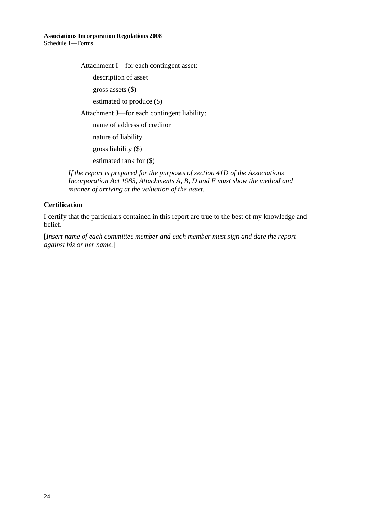Attachment I—for each contingent asset:

description of asset

gross assets (\$)

estimated to produce (\$)

Attachment J—for each contingent liability:

name of address of creditor

nature of liability

gross liability (\$)

estimated rank for (\$)

*If the report is prepared for the purposes of section 41D of the Associations Incorporation Act 1985, Attachments A, B, D and E must show the method and manner of arriving at the valuation of the asset.*

## **Certification**

I certify that the particulars contained in this report are true to the best of my knowledge and belief.

[*Insert name of each committee member and each member must sign and date the report against his or her name.*]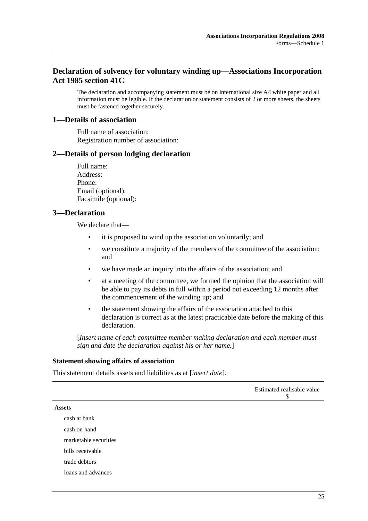## **Declaration of solvency for voluntary winding up—Associations Incorporation Act 1985 section 41C**

The declaration and accompanying statement must be on international size A4 white paper and all information must be legible. If the declaration or statement consists of 2 or more sheets, the sheets must be fastened together securely.

#### **1—Details of association**

Full name of association: Registration number of association:

#### **2—Details of person lodging declaration**

Full name: Address: Phone: Email (optional): Facsimile (optional):

#### **3—Declaration**

We declare that—

- it is proposed to wind up the association voluntarily; and
- we constitute a majority of the members of the committee of the association; and
- we have made an inquiry into the affairs of the association; and
- at a meeting of the committee, we formed the opinion that the association will be able to pay its debts in full within a period not exceeding 12 months after the commencement of the winding up; and
- the statement showing the affairs of the association attached to this declaration is correct as at the latest practicable date before the making of this declaration.

[*Insert name of each committee member making declaration and each member must sign and date the declaration against his or her name.*]

#### **Statement showing affairs of association**

This statement details assets and liabilities as at [*insert date*].

|                       | Estimated realisable value<br>\$ |
|-----------------------|----------------------------------|
| <b>Assets</b>         |                                  |
| cash at bank          |                                  |
| cash on hand          |                                  |
| marketable securities |                                  |
| bills receivable      |                                  |
| trade debtors         |                                  |
| loans and advances    |                                  |
|                       |                                  |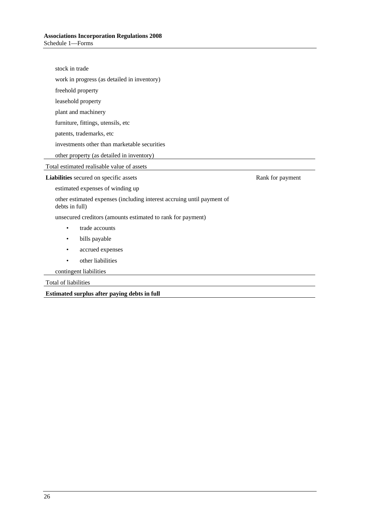| stock in trade                                                                           |  |  |  |
|------------------------------------------------------------------------------------------|--|--|--|
| work in progress (as detailed in inventory)                                              |  |  |  |
| freehold property                                                                        |  |  |  |
| leasehold property                                                                       |  |  |  |
| plant and machinery                                                                      |  |  |  |
| furniture, fittings, utensils, etc                                                       |  |  |  |
| patents, trademarks, etc                                                                 |  |  |  |
| investments other than marketable securities                                             |  |  |  |
| other property (as detailed in inventory)                                                |  |  |  |
| Total estimated realisable value of assets                                               |  |  |  |
| Liabilities secured on specific assets<br>Rank for payment                               |  |  |  |
| estimated expenses of winding up                                                         |  |  |  |
| other estimated expenses (including interest accruing until payment of<br>debts in full) |  |  |  |
| unsecured creditors (amounts estimated to rank for payment)                              |  |  |  |
| trade accounts<br>$\bullet$                                                              |  |  |  |
| bills payable<br>٠                                                                       |  |  |  |
| accrued expenses<br>٠                                                                    |  |  |  |
| other liabilities                                                                        |  |  |  |
| contingent liabilities                                                                   |  |  |  |
| Total of liabilities                                                                     |  |  |  |
| Estimated surplus after paying debts in full                                             |  |  |  |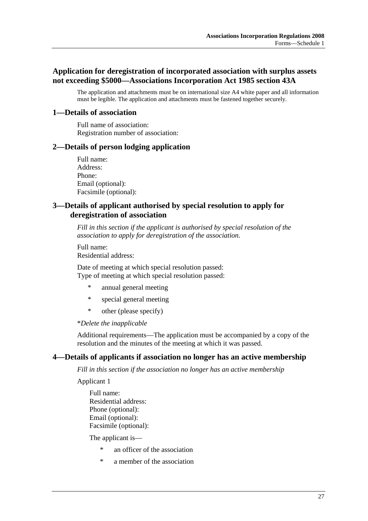## **Application for deregistration of incorporated association with surplus assets not exceeding \$5000—Associations Incorporation Act 1985 section 43A**

The application and attachments must be on international size A4 white paper and all information must be legible. The application and attachments must be fastened together securely.

## **1—Details of association**

Full name of association: Registration number of association:

#### **2—Details of person lodging application**

Full name: Address: Phone: Email (optional): Facsimile (optional):

## **3—Details of applicant authorised by special resolution to apply for deregistration of association**

*Fill in this section if the applicant is authorised by special resolution of the association to apply for deregistration of the association.*

Full name: Residential address:

Date of meeting at which special resolution passed: Type of meeting at which special resolution passed:

- annual general meeting
- \* special general meeting
- \* other (please specify)

#### \**Delete the inapplicable*

Additional requirements—The application must be accompanied by a copy of the resolution and the minutes of the meeting at which it was passed.

## **4—Details of applicants if association no longer has an active membership**

*Fill in this section if the association no longer has an active membership*

Applicant 1

Full name: Residential address: Phone (optional): Email (optional): Facsimile (optional):

The applicant is—

- \* an officer of the association
- \* a member of the association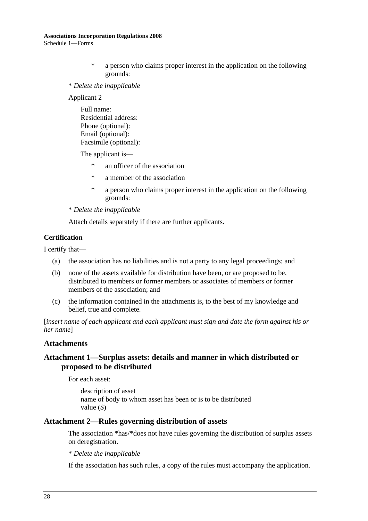- \* a person who claims proper interest in the application on the following grounds:
- \* *Delete the inapplicable*

Applicant 2

Full name: Residential address: Phone (optional): Email (optional): Facsimile (optional):

The applicant is—

- \* an officer of the association
- \* a member of the association
- \* a person who claims proper interest in the application on the following grounds:

\* *Delete the inapplicable*

Attach details separately if there are further applicants.

#### **Certification**

I certify that—

- (a) the association has no liabilities and is not a party to any legal proceedings; and
- (b) none of the assets available for distribution have been, or are proposed to be, distributed to members or former members or associates of members or former members of the association; and
- (c) the information contained in the attachments is, to the best of my knowledge and belief, true and complete.

[*insert name of each applicant and each applicant must sign and date the form against his or her name*]

#### **Attachments**

## **Attachment 1—Surplus assets: details and manner in which distributed or proposed to be distributed**

For each asset:

description of asset name of body to whom asset has been or is to be distributed value (\$)

#### **Attachment 2—Rules governing distribution of assets**

The association \*has/\*does not have rules governing the distribution of surplus assets on deregistration.

\* *Delete the inapplicable*

If the association has such rules, a copy of the rules must accompany the application.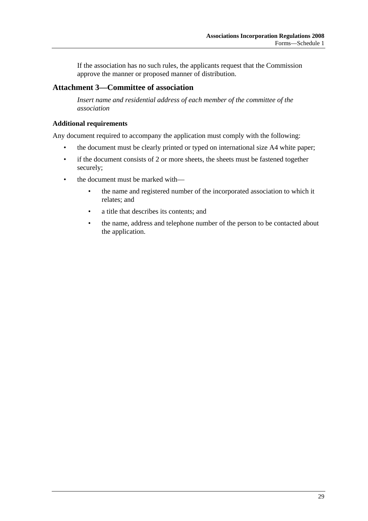If the association has no such rules, the applicants request that the Commission approve the manner or proposed manner of distribution.

## **Attachment 3—Committee of association**

*Insert name and residential address of each member of the committee of the association*

#### **Additional requirements**

Any document required to accompany the application must comply with the following:

- the document must be clearly printed or typed on international size A4 white paper;
- if the document consists of 2 or more sheets, the sheets must be fastened together securely;
- the document must be marked with—
	- the name and registered number of the incorporated association to which it relates; and
	- a title that describes its contents; and
	- the name, address and telephone number of the person to be contacted about the application.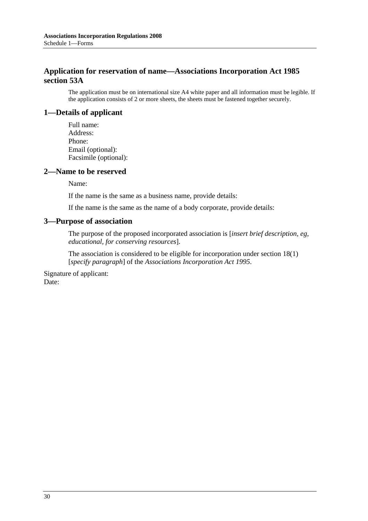## **Application for reservation of name—Associations Incorporation Act 1985 section 53A**

The application must be on international size A4 white paper and all information must be legible. If the application consists of 2 or more sheets, the sheets must be fastened together securely.

## **1—Details of applicant**

Full name: Address: Phone: Email (optional): Facsimile (optional):

#### **2—Name to be reserved**

Name:

If the name is the same as a business name, provide details:

If the name is the same as the name of a body corporate, provide details:

#### **3—Purpose of association**

The purpose of the proposed incorporated association is [*insert brief description, eg, educational, for conserving resources*].

The association is considered to be eligible for incorporation under section 18(1) [*specify paragraph*] of the *Associations Incorporation Act 1995*.

Signature of applicant: Date: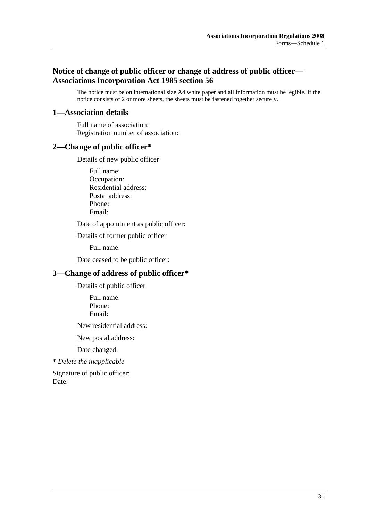## **Notice of change of public officer or change of address of public officer— Associations Incorporation Act 1985 section 56**

The notice must be on international size A4 white paper and all information must be legible. If the notice consists of 2 or more sheets, the sheets must be fastened together securely.

## **1—Association details**

Full name of association: Registration number of association:

## **2—Change of public officer\***

Details of new public officer

Full name: Occupation: Residential address: Postal address: Phone: Email:

Date of appointment as public officer:

Details of former public officer

Full name:

Date ceased to be public officer:

## **3—Change of address of public officer\***

Details of public officer

Full name: Phone: Email:

New residential address:

New postal address:

Date changed:

\* *Delete the inapplicable*

Signature of public officer: Date: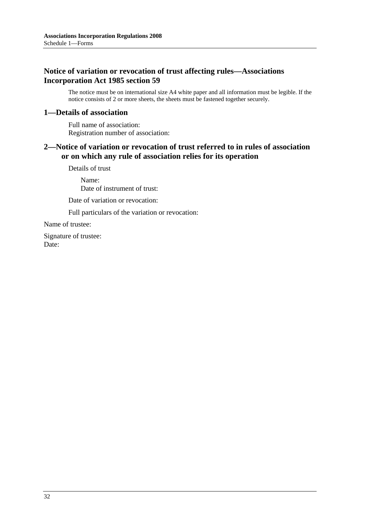## **Notice of variation or revocation of trust affecting rules—Associations Incorporation Act 1985 section 59**

The notice must be on international size A4 white paper and all information must be legible. If the notice consists of 2 or more sheets, the sheets must be fastened together securely.

## **1—Details of association**

Full name of association: Registration number of association:

## **2—Notice of variation or revocation of trust referred to in rules of association or on which any rule of association relies for its operation**

Details of trust

Name: Date of instrument of trust:

Date of variation or revocation:

Full particulars of the variation or revocation:

Name of trustee:

Signature of trustee: Date: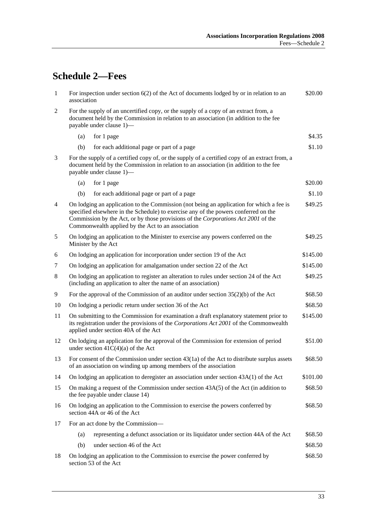# **Schedule 2—Fees**

| $\mathbf{1}$   | For inspection under section $6(2)$ of the Act of documents lodged by or in relation to an<br>association                                                                                                                                                                                                                 |                                                                                                                                                                                                                          | \$20.00  |
|----------------|---------------------------------------------------------------------------------------------------------------------------------------------------------------------------------------------------------------------------------------------------------------------------------------------------------------------------|--------------------------------------------------------------------------------------------------------------------------------------------------------------------------------------------------------------------------|----------|
| $\overline{2}$ | For the supply of an uncertified copy, or the supply of a copy of an extract from, a<br>document held by the Commission in relation to an association (in addition to the fee<br>payable under clause 1)-                                                                                                                 |                                                                                                                                                                                                                          |          |
|                | (a)                                                                                                                                                                                                                                                                                                                       | for 1 page                                                                                                                                                                                                               | \$4.35   |
|                | (b)                                                                                                                                                                                                                                                                                                                       | for each additional page or part of a page                                                                                                                                                                               | \$1.10   |
| 3              |                                                                                                                                                                                                                                                                                                                           | For the supply of a certified copy of, or the supply of a certified copy of an extract from, a<br>document held by the Commission in relation to an association (in addition to the fee<br>payable under clause 1)-      |          |
|                | (a)                                                                                                                                                                                                                                                                                                                       | for 1 page                                                                                                                                                                                                               | \$20.00  |
|                | (b)                                                                                                                                                                                                                                                                                                                       | for each additional page or part of a page                                                                                                                                                                               | \$1.10   |
| $\overline{4}$ | On lodging an application to the Commission (not being an application for which a fee is<br>specified elsewhere in the Schedule) to exercise any of the powers conferred on the<br>Commission by the Act, or by those provisions of the Corporations Act 2001 of the<br>Commonwealth applied by the Act to an association |                                                                                                                                                                                                                          | \$49.25  |
| 5              |                                                                                                                                                                                                                                                                                                                           | On lodging an application to the Minister to exercise any powers conferred on the<br>Minister by the Act                                                                                                                 | \$49.25  |
| 6              |                                                                                                                                                                                                                                                                                                                           | On lodging an application for incorporation under section 19 of the Act                                                                                                                                                  | \$145.00 |
| 7              |                                                                                                                                                                                                                                                                                                                           | On lodging an application for amalgamation under section 22 of the Act                                                                                                                                                   | \$145.00 |
| 8              |                                                                                                                                                                                                                                                                                                                           | On lodging an application to register an alteration to rules under section 24 of the Act<br>(including an application to alter the name of an association)                                                               | \$49.25  |
| 9              |                                                                                                                                                                                                                                                                                                                           | For the approval of the Commission of an auditor under section $35(2)(b)$ of the Act                                                                                                                                     | \$68.50  |
| 10             | On lodging a periodic return under section 36 of the Act                                                                                                                                                                                                                                                                  |                                                                                                                                                                                                                          | \$68.50  |
| 11             |                                                                                                                                                                                                                                                                                                                           | On submitting to the Commission for examination a draft explanatory statement prior to<br>its registration under the provisions of the Corporations Act 2001 of the Commonwealth<br>applied under section 40A of the Act | \$145.00 |
| 12             |                                                                                                                                                                                                                                                                                                                           | On lodging an application for the approval of the Commission for extension of period<br>under section $41C(4)(a)$ of the Act                                                                                             | \$51.00  |
| 13             |                                                                                                                                                                                                                                                                                                                           | For consent of the Commission under section $43(1a)$ of the Act to distribute surplus assets<br>of an association on winding up among members of the association                                                         | \$68.50  |
| 14             |                                                                                                                                                                                                                                                                                                                           | On lodging an application to deregister an association under section $43A(1)$ of the Act                                                                                                                                 | \$101.00 |
| 15             |                                                                                                                                                                                                                                                                                                                           | On making a request of the Commission under section $43A(5)$ of the Act (in addition to<br>the fee payable under clause 14)                                                                                              | \$68.50  |
| 16             | On lodging an application to the Commission to exercise the powers conferred by<br>section 44A or 46 of the Act                                                                                                                                                                                                           |                                                                                                                                                                                                                          | \$68.50  |
| 17             |                                                                                                                                                                                                                                                                                                                           | For an act done by the Commission-                                                                                                                                                                                       |          |
|                | (a)                                                                                                                                                                                                                                                                                                                       | representing a defunct association or its liquidator under section 44A of the Act                                                                                                                                        | \$68.50  |
|                | (b)                                                                                                                                                                                                                                                                                                                       | under section 46 of the Act                                                                                                                                                                                              | \$68.50  |
| 18             |                                                                                                                                                                                                                                                                                                                           | On lodging an application to the Commission to exercise the power conferred by<br>section 53 of the Act                                                                                                                  | \$68.50  |